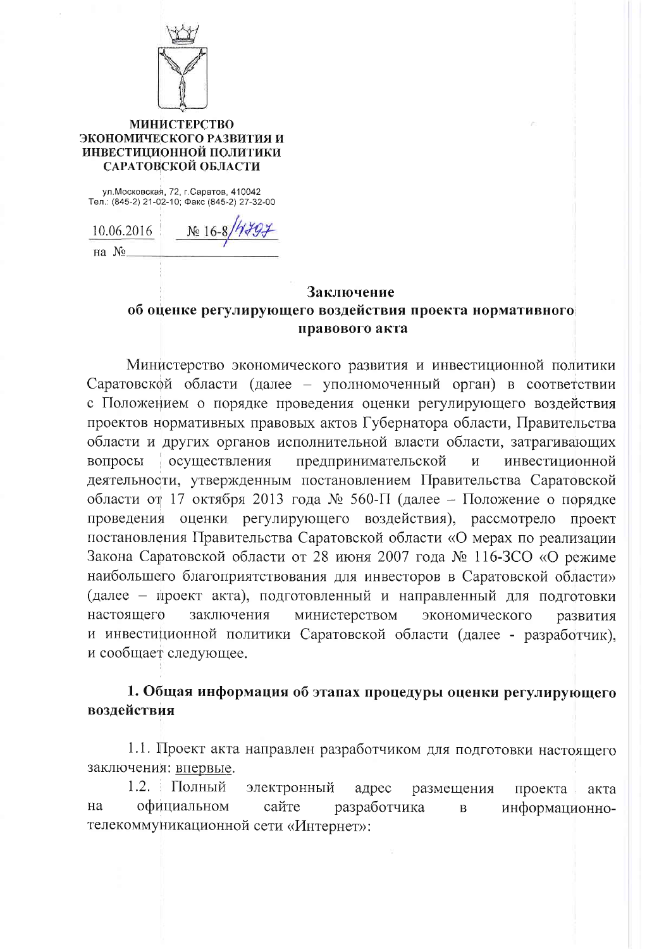

## **МИНИСТЕРСТВО** ЭКОНОМИЧЕСКОГО РАЗВИТИЯ И ИНВЕСТИЦИОННОЙ ПОЛИТИКИ САРАТОВСКОЙ ОБЛАСТИ

ул. Московская, 72, г. Саратов, 410042<br>Тел.: (845-2) 21-02-10; Факс (845-2) 27-32-00

10.06.2016  $N_0$  16-8 на №

## Заключение об оценке регулирующего воздействия проекта нормативного правового акта

Министерство экономического развития и инвестиционной политики Саратовской области (далее - уполномоченный орган) в соответствии с Положением о порядке проведения оценки регулирующего воздействия проектов нормативных правовых актов Губернатора области, Правительства области и других органов исполнительной власти области, затрагивающих вопросы осуществления предпринимательской  $\mathbf{M}$ инвестиционной деятельности, утвержденным постановлением Правительства Саратовской области от 17 октября 2013 года № 560-П (далее – Положение о порядке проведения оценки регулирующего воздействия), рассмотрело проект постановления Правительства Саратовской области «О мерах по реализации Закона Саратовской области от 28 июня 2007 года № 116-ЗСО «О режиме наибольшего благоприятствования для инвесторов в Саратовской области» (далее - проект акта), подготовленный и направленный для подготовки заключения настоящего министерством экономического развития и инвестиционной политики Саратовской области (далее - разработчик), и сообщает следующее.

## 1. Общая информация об этапах процедуры оценки регулирующего возлействия

1.1. Проект акта направлен разработчиком для подготовки настоящего заключения: впервые.

1.2. Полный электронный адрес размещения проекта. акта официальном сайте разработчика Ha информационно- $\, {\bf B}$ телекоммуникационной сети «Интернет»: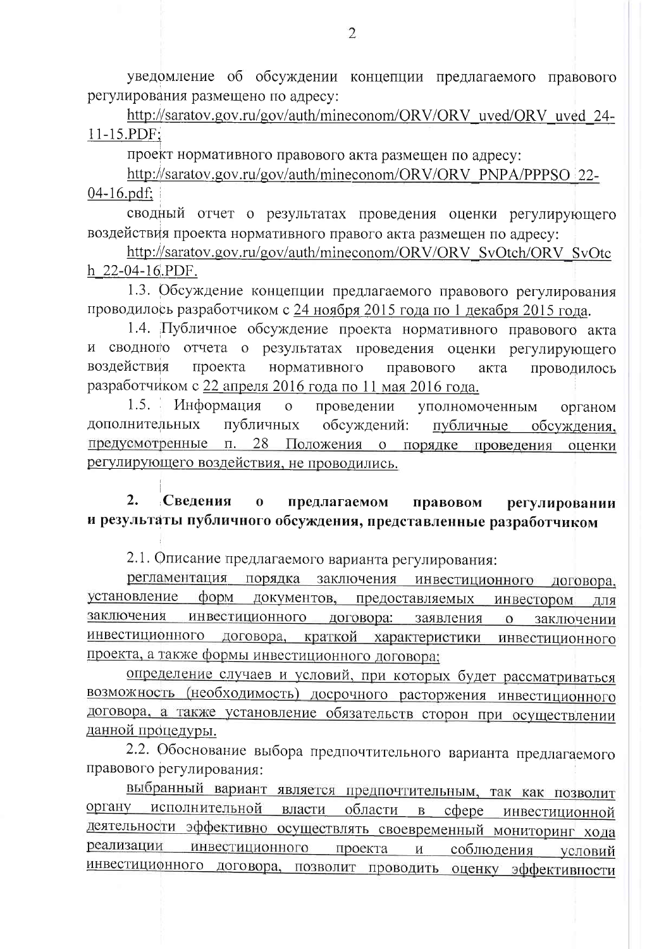уведомление об обсуждении концепции предлагаемого правового регулирования размещено по адресу:

http://saratov.gov.ru/gov/auth/mineconom/ORV/ORV uved/ORV uved 24- $11-15.PDF;$ 

проект нормативного правового акта размещен по адресу:

http://saratov.gov.ru/gov/auth/mineconom/ORV/ORV PNPA/PPPSO 22- $04 - 16$ .pdf:

сводный отчет о результатах проведения оценки регулирующего воздействия проекта нормативного правого акта размещен по адресу:

http://saratov.gov.ru/gov/auth/mineconom/ORV/ORV SvOtch/ORV SvOtc h 22-04-16.PDF.

1.3. Обсуждение концепции предлагаемого правового регулирования проводилось разработчиком с 24 ноября 2015 года по 1 декабря 2015 года.

1.4. Публичное обсуждение проекта нормативного правового акта и сводного отчета о результатах проведения оценки регулирующего воздействия проекта нормативного правового акта проводилось разработчиком с 22 апреля 2016 года по 11 мая 2016 года.

 $1.5.$ Информация проведении  $\overline{O}$ уполномоченным органом дополнительных публичных обсуждений: публичные обсуждения, предусмотренные п. 28 Положения о порядке проведения оценки регулирующего воздействия, не проводились.

 $2.$ Сведения предлагаемом  $\bf{0}$ правовом регулировании и результаты публичного обсуждения, представленные разработчиком

2.1. Описание предлагаемого варианта регулирования:

регламентация порядка заключения инвестиционного договора, установление форм документов, предоставляемых инвестором для инвестиционного заключения договора: заявления  $\mathbf{O}$ заключении инвестиционного договора, краткой характеристики инвестиционного проекта, а также формы инвестиционного договора;

определение случаев и условий, при которых будет рассматриваться возможность (необходимость) досрочного расторжения инвестиционного договора, а также установление обязательств сторон при осуществлении данной процедуры.

2.2. Обоснование выбора предпочтительного варианта предлагаемого правового регулирования:

выбранный вариант является предпочтительным, так как позволит органу исполнительной власти области в сфере инвестиционной деятельности эффективно осуществлять своевременный мониторинг хода инвестиционного проекта реализации  $\mathbf{M}$ соблюдения условий инвестиционного договора, позволит проводить оценку эффективности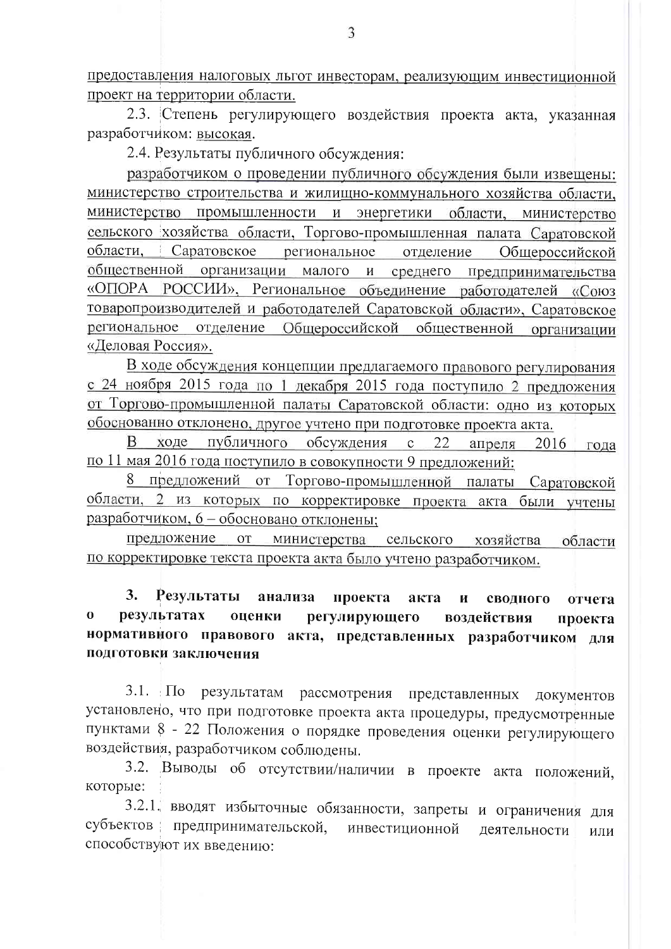предоставления налоговых льгот инвесторам, реализующим инвестиционной проект на территории области.

2.3. Степень регулирующего воздействия проекта акта, указанная разработчиком: высокая.

2.4. Результаты публичного обсуждения:

разработчиком о проведении публичного обсуждения были извещены: министерство строительства и жилищно-коммунального хозяйства области, министерство промышленности и энергетики области, министерство сельского хозяйства области. Торгово-промышленная палата Саратовской области, Саратовское региональное отделение Общероссийской общественной организации малого и среднего предпринимательства «ОПОРА РОССИИ», Региональное объединение работодателей «Союз товаропроизводителей и работодателей Саратовской области», Саратовское региональное отделение Общероссийской общественной организации «Деловая Россия».

В ходе обсуждения концепции предлагаемого правового регулирования с 24 ноября 2015 года по 1 декабря 2015 года поступило 2 предложения от Торгово-промышленной палаты Саратовской области: одно из которых обоснованно отклонено, другое учтено при подготовке проекта акта.

В ходе публичного обсуждения с 22 апреля 2016 года по 11 мая 2016 года поступило в совокупности 9 предложений:

8 предложений от Торгово-промышленной палаты Саратовской области, 2 из которых по корректировке проекта акта были учтены разработчиком, 6 - обосновано отклонены;

предложение от министерства сельского хозяйства области по корректировке текста проекта акта было учтено разработчиком.

Результаты  $3.$ анализа проекта акта  $\mathbf{M}$ сводного отчета результатах  $\mathbf 0$ оценки регулирующего воздействия проекта нормативного правового акта, представленных разработчиком для подготовки заключения

 $3.1. \Pi$ o результатам рассмотрения представленных документов установлено, что при подготовке проекта акта процедуры, предусмотренные пунктами 8 - 22 Положения о порядке проведения оценки регулирующего воздействия, разработчиком соблюдены.

3.2. Выводы об отсутствии/наличии в проекте акта положений, которые:

3.2.1. вводят избыточные обязанности, запреты и ограничения для субъектов предпринимательской, инвестиционной деятельности или способствуют их введению: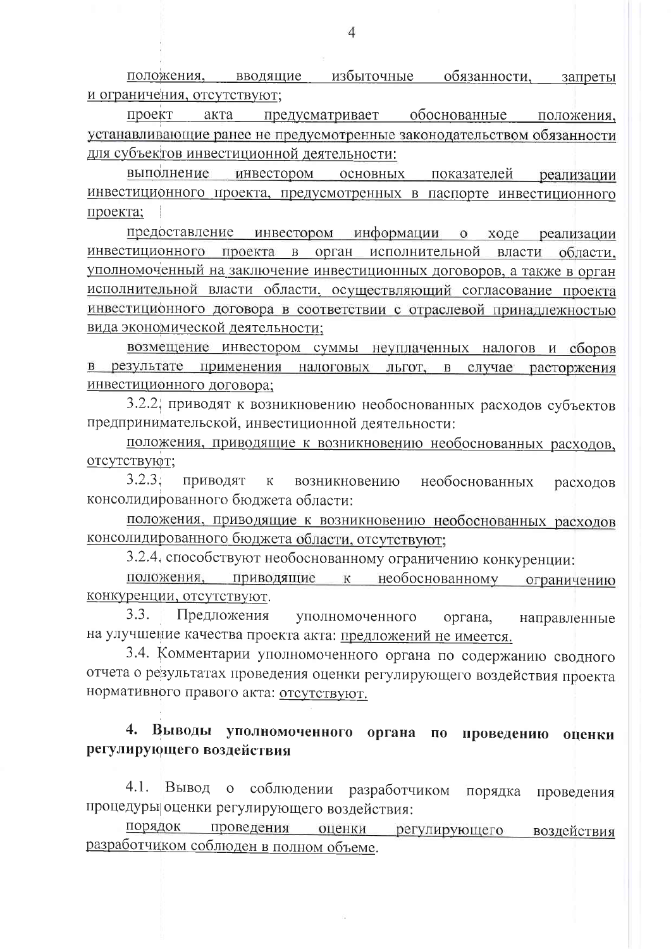избыточные положения, вводящие обязанности, запреты и ограничения, отсутствуют;

проект акта предусматривает обоснованные положения, устанавливающие ранее не предусмотренные законодательством обязанности для субъектов инвестиционной деятельности:

выполнение инвестором основных показателей реализации инвестиционного проекта, предусмотренных в паспорте инвестиционного проекта;

предоставление инвестором информации о ходе реализации инвестиционного проекта в орган исполнительной власти области, уполномоченный на заключение инвестиционных договоров, а также в орган исполнительной власти области, осуществляющий согласование проекта инвестиционного договора в соответствии с отраслевой принадлежностью вида экономической деятельности;

возмещение инвестором суммы неуплаченных налогов и сборов в результате применения налоговых льгот, в случае расторжения инвестиционного договора;

3.2.2. приводят к возникновению необоснованных расходов субъектов предпринимательской, инвестиционной деятельности:

положения, приводящие к возникновению необоснованных расходов, отсутствуют;

 $3.2.3.$ приводят  ${\bf K}$ возникновению необоснованных расходов консолидированного бюджета области:

положения, приводящие к возникновению необоснованных расходов консолидированного бюджета области, отсутствуют;

3.2.4. способствуют необоснованному ограничению конкуренции:

положения, приводящие к необоснованному ограничению конкуренции, отсутствуют.

3.3. Предложения уполномоченного органа, направленные на улучшение качества проекта акта: предложений не имеется.

3.4. Комментарии уполномоченного органа по содержанию сводного отчета о результатах проведения оценки регулирующего воздействия проекта нормативного правого акта: отсутствуют.

## 4. Выводы уполномоченного органа по проведению оценки регулирующего воздействия

Вывод о соблюдении разработчиком  $4.1.$ порядка проведения процедуры оценки регулирующего воздействия:

порядок проведения оценки регулирующего воздействия разработчиком соблюден в полном объеме.